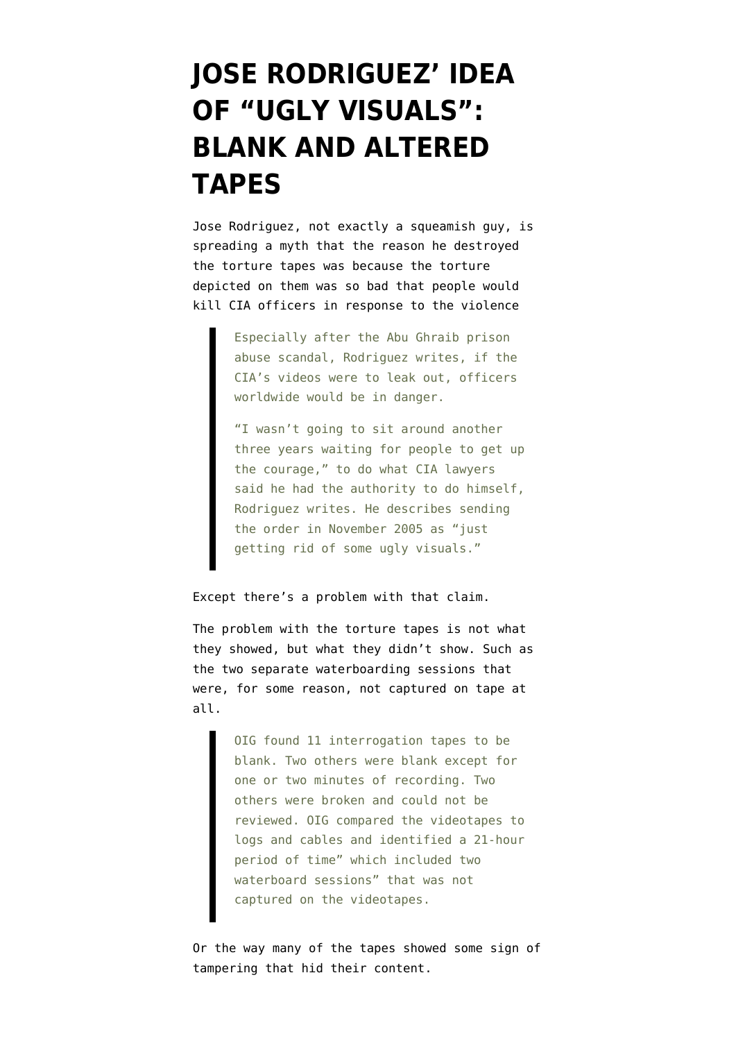## **[JOSE RODRIGUEZ' IDEA](https://www.emptywheel.net/2012/04/24/jose-rodriguez-idea-of-ugly-visuals-blank-and-altered-tapes/) [OF "UGLY VISUALS":](https://www.emptywheel.net/2012/04/24/jose-rodriguez-idea-of-ugly-visuals-blank-and-altered-tapes/) [BLANK AND ALTERED](https://www.emptywheel.net/2012/04/24/jose-rodriguez-idea-of-ugly-visuals-blank-and-altered-tapes/) [TAPES](https://www.emptywheel.net/2012/04/24/jose-rodriguez-idea-of-ugly-visuals-blank-and-altered-tapes/)**

Jose Rodriguez, not exactly a squeamish guy, is [spreading a myth](http://www.google.com/hostednews/ap/article/ALeqM5jVmWWCw6H2ZMBtJhUznSH-G-7cYw) that the reason he destroyed the torture tapes was because the torture depicted on them was so bad that people would kill CIA officers in response to the violence

> Especially after the Abu Ghraib prison abuse scandal, Rodriguez writes, if the CIA's videos were to leak out, officers worldwide would be in danger.

"I wasn't going to sit around another three years waiting for people to get up the courage," to do what CIA lawyers said he had the authority to do himself, Rodriguez writes. He describes sending the order in November 2005 as "just getting rid of some ugly visuals."

## Except there's a problem with that claim.

The problem with the torture tapes is not what they showed, but [what they didn't show.](http://media.luxmedia.com/aclu/IG_Report.pdf) Such as the two separate waterboarding sessions that were, for some reason, not captured on tape at all.

> OIG found 11 interrogation tapes to be blank. Two others were blank except for one or two minutes of recording. Two others were broken and could not be reviewed. OIG compared the videotapes to logs and cables and identified a 21-hour period of time" which included two waterboard sessions" that was not captured on the videotapes.

Or the way many of the tapes showed [some sign of](http://www.aclu.org/files/assets/cia_release20100415_p01-09.pdf) [tampering](http://www.aclu.org/files/assets/cia_release20100415_p01-09.pdf) that hid their content.